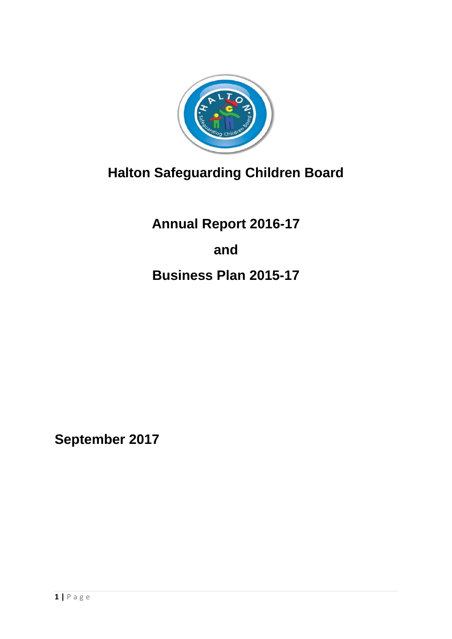

# **Halton Safeguarding Children Board**

**Annual Report 2016-17 and Business Plan 2015-17**

**September 2017**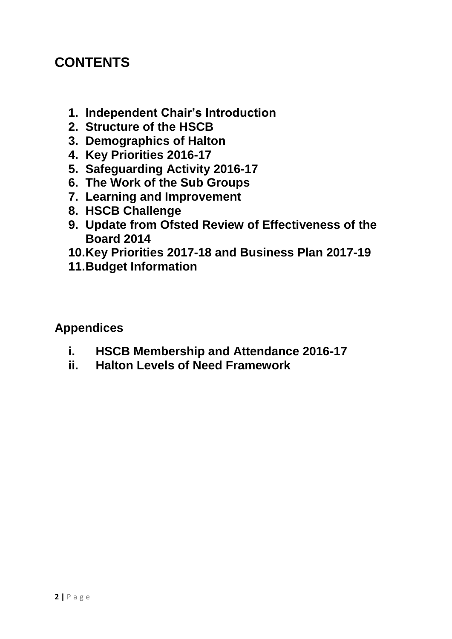## **CONTENTS**

- **1. Independent Chair's Introduction**
- **2. Structure of the HSCB**
- **3. Demographics of Halton**
- **4. Key Priorities 2016-17**
- **5. Safeguarding Activity 2016-17**
- **6. The Work of the Sub Groups**
- **7. Learning and Improvement**
- **8. HSCB Challenge**
- **9. Update from Ofsted Review of Effectiveness of the Board 2014**
- **10.Key Priorities 2017-18 and Business Plan 2017-19**
- **11.Budget Information**

## **Appendices**

- **i. HSCB Membership and Attendance 2016-17**
- **ii. Halton Levels of Need Framework**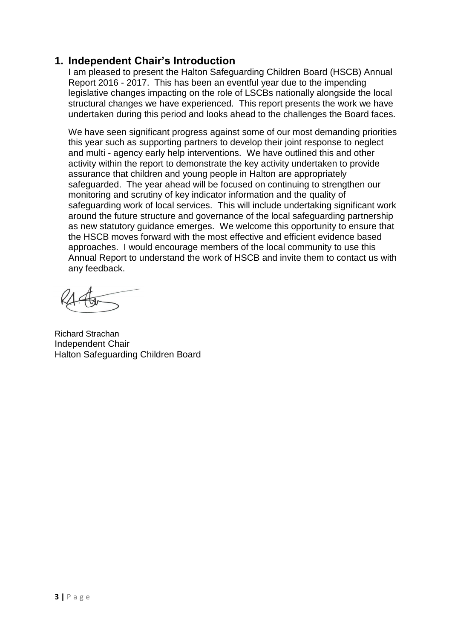### **1. Independent Chair's Introduction**

I am pleased to present the Halton Safeguarding Children Board (HSCB) Annual Report 2016 - 2017. This has been an eventful year due to the impending legislative changes impacting on the role of LSCBs nationally alongside the local structural changes we have experienced. This report presents the work we have undertaken during this period and looks ahead to the challenges the Board faces.

We have seen significant progress against some of our most demanding priorities this year such as supporting partners to develop their joint response to neglect and multi - agency early help interventions. We have outlined this and other activity within the report to demonstrate the key activity undertaken to provide assurance that children and young people in Halton are appropriately safeguarded. The year ahead will be focused on continuing to strengthen our monitoring and scrutiny of key indicator information and the quality of safeguarding work of local services. This will include undertaking significant work around the future structure and governance of the local safeguarding partnership as new statutory guidance emerges. We welcome this opportunity to ensure that the HSCB moves forward with the most effective and efficient evidence based approaches. I would encourage members of the local community to use this Annual Report to understand the work of HSCB and invite them to contact us with any feedback.

Richard Strachan Independent Chair Halton Safeguarding Children Board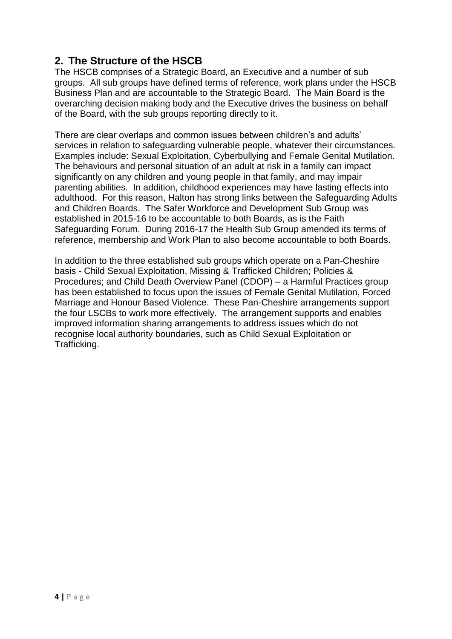## **2. The Structure of the HSCB**

The HSCB comprises of a Strategic Board, an Executive and a number of sub groups. All sub groups have defined terms of reference, work plans under the HSCB Business Plan and are accountable to the Strategic Board. The Main Board is the overarching decision making body and the Executive drives the business on behalf of the Board, with the sub groups reporting directly to it.

There are clear overlaps and common issues between children's and adults' services in relation to safeguarding vulnerable people, whatever their circumstances. Examples include: Sexual Exploitation, Cyberbullying and Female Genital Mutilation. The behaviours and personal situation of an adult at risk in a family can impact significantly on any children and young people in that family, and may impair parenting abilities. In addition, childhood experiences may have lasting effects into adulthood. For this reason, Halton has strong links between the Safeguarding Adults and Children Boards. The Safer Workforce and Development Sub Group was established in 2015-16 to be accountable to both Boards, as is the Faith Safeguarding Forum. During 2016-17 the Health Sub Group amended its terms of reference, membership and Work Plan to also become accountable to both Boards.

In addition to the three established sub groups which operate on a Pan-Cheshire basis - Child Sexual Exploitation, Missing & Trafficked Children; Policies & Procedures; and Child Death Overview Panel (CDOP) – a Harmful Practices group has been established to focus upon the issues of Female Genital Mutilation, Forced Marriage and Honour Based Violence. These Pan-Cheshire arrangements support the four LSCBs to work more effectively. The arrangement supports and enables improved information sharing arrangements to address issues which do not recognise local authority boundaries, such as Child Sexual Exploitation or Trafficking.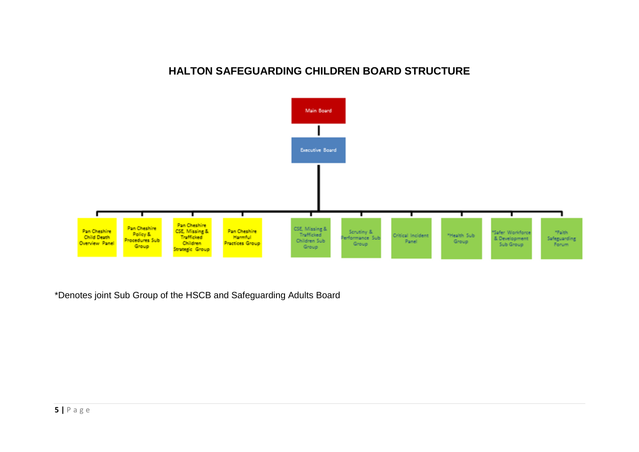#### **HALTON SAFEGUARDING CHILDREN BOARD STRUCTURE**



\*Denotes joint Sub Group of the HSCB and Safeguarding Adults Board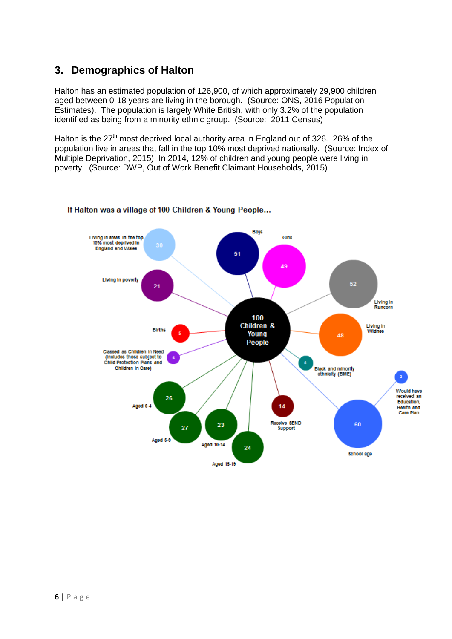## **3. Demographics of Halton**

Halton has an estimated population of 126,900, of which approximately 29,900 children aged between 0-18 years are living in the borough. (Source: ONS, 2016 Population Estimates). The population is largely White British, with only 3.2% of the population identified as being from a minority ethnic group. (Source: 2011 Census)

Halton is the  $27<sup>th</sup>$  most deprived local authority area in England out of 326. 26% of the population live in areas that fall in the top 10% most deprived nationally. (Source: Index of Multiple Deprivation, 2015) In 2014, 12% of children and young people were living in poverty. (Source: DWP, Out of Work Benefit Claimant Households, 2015)



#### If Halton was a village of 100 Children & Young People...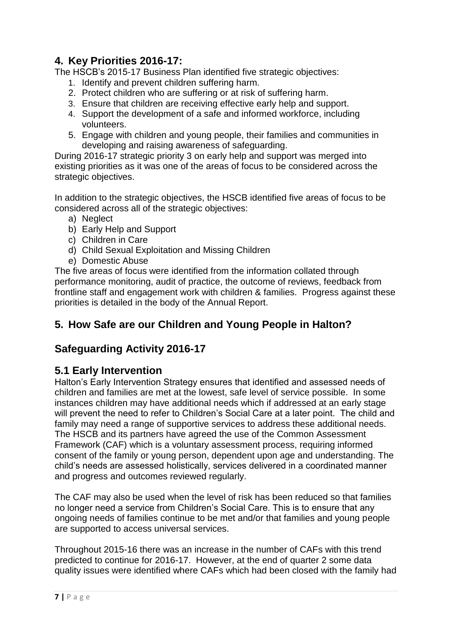## **4. Key Priorities 2016-17:**

The HSCB's 2015-17 Business Plan identified five strategic objectives:

- 1. Identify and prevent children suffering harm.
- 2. Protect children who are suffering or at risk of suffering harm.
- 3. Ensure that children are receiving effective early help and support.
- 4. Support the development of a safe and informed workforce, including volunteers.
- 5. Engage with children and young people, their families and communities in developing and raising awareness of safeguarding.

During 2016-17 strategic priority 3 on early help and support was merged into existing priorities as it was one of the areas of focus to be considered across the strategic objectives.

In addition to the strategic objectives, the HSCB identified five areas of focus to be considered across all of the strategic objectives:

- a) Neglect
- b) Early Help and Support
- c) Children in Care
- d) Child Sexual Exploitation and Missing Children
- e) Domestic Abuse

The five areas of focus were identified from the information collated through performance monitoring, audit of practice, the outcome of reviews, feedback from frontline staff and engagement work with children & families. Progress against these priorities is detailed in the body of the Annual Report.

## **5. How Safe are our Children and Young People in Halton?**

### **Safeguarding Activity 2016-17**

#### **5.1 Early Intervention**

Halton's Early Intervention Strategy ensures that identified and assessed needs of children and families are met at the lowest, safe level of service possible. In some instances children may have additional needs which if addressed at an early stage will prevent the need to refer to Children's Social Care at a later point. The child and family may need a range of supportive services to address these additional needs. The HSCB and its partners have agreed the use of the Common Assessment Framework (CAF) which is a voluntary assessment process, requiring informed consent of the family or young person, dependent upon age and understanding. The child's needs are assessed holistically, services delivered in a coordinated manner and progress and outcomes reviewed regularly.

The CAF may also be used when the level of risk has been reduced so that families no longer need a service from Children's Social Care. This is to ensure that any ongoing needs of families continue to be met and/or that families and young people are supported to access universal services.

Throughout 2015-16 there was an increase in the number of CAFs with this trend predicted to continue for 2016-17. However, at the end of quarter 2 some data quality issues were identified where CAFs which had been closed with the family had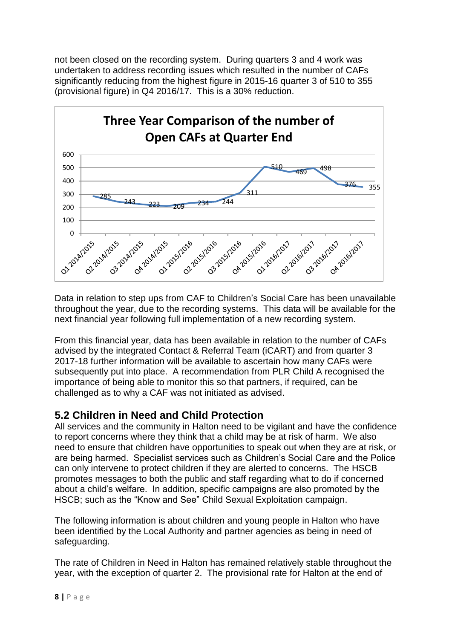not been closed on the recording system. During quarters 3 and 4 work was undertaken to address recording issues which resulted in the number of CAFs significantly reducing from the highest figure in 2015-16 quarter 3 of 510 to 355 (provisional figure) in Q4 2016/17. This is a 30% reduction.



Data in relation to step ups from CAF to Children's Social Care has been unavailable throughout the year, due to the recording systems. This data will be available for the next financial year following full implementation of a new recording system.

From this financial year, data has been available in relation to the number of CAFs advised by the integrated Contact & Referral Team (iCART) and from quarter 3 2017-18 further information will be available to ascertain how many CAFs were subsequently put into place. A recommendation from PLR Child A recognised the importance of being able to monitor this so that partners, if required, can be challenged as to why a CAF was not initiated as advised.

## **5.2 Children in Need and Child Protection**

All services and the community in Halton need to be vigilant and have the confidence to report concerns where they think that a child may be at risk of harm. We also need to ensure that children have opportunities to speak out when they are at risk, or are being harmed. Specialist services such as Children's Social Care and the Police can only intervene to protect children if they are alerted to concerns. The HSCB promotes messages to both the public and staff regarding what to do if concerned about a child's welfare. In addition, specific campaigns are also promoted by the HSCB; such as the "Know and See" Child Sexual Exploitation campaign.

The following information is about children and young people in Halton who have been identified by the Local Authority and partner agencies as being in need of safeguarding.

The rate of Children in Need in Halton has remained relatively stable throughout the year, with the exception of quarter 2. The provisional rate for Halton at the end of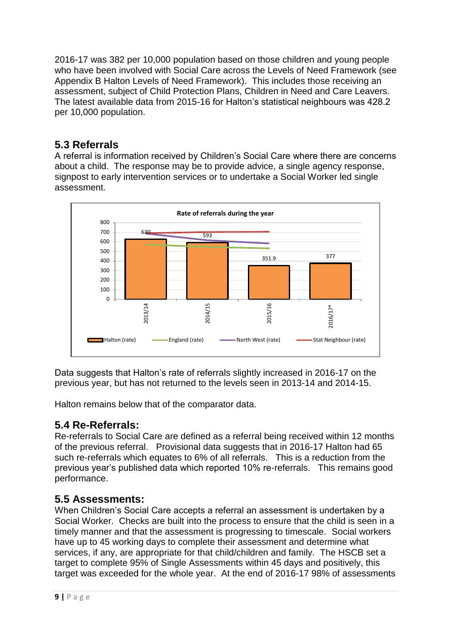2016-17 was 382 per 10,000 population based on those children and young people who have been involved with Social Care across the Levels of Need Framework (see Appendix B Halton Levels of Need Framework). This includes those receiving an assessment, subject of Child Protection Plans, Children in Need and Care Leavers. The latest available data from 2015-16 for Halton's statistical neighbours was 428.2 per 10,000 population.

## **5.3 Referrals**

A referral is information received by Children's Social Care where there are concerns about a child. The response may be to provide advice, a single agency response, signpost to early intervention services or to undertake a Social Worker led single assessment.



Data suggests that Halton's rate of referrals slightly increased in 2016-17 on the previous year, but has not returned to the levels seen in 2013-14 and 2014-15.

Halton remains below that of the comparator data.

## **5.4 Re-Referrals:**

Re-referrals to Social Care are defined as a referral being received within 12 months of the previous referral. Provisional data suggests that in 2016-17 Halton had 65 such re-referrals which equates to 6% of all referrals. This is a reduction from the previous year's published data which reported 10% re-referrals. This remains good performance.

### **5.5 Assessments:**

When Children's Social Care accepts a referral an assessment is undertaken by a Social Worker. Checks are built into the process to ensure that the child is seen in a timely manner and that the assessment is progressing to timescale. Social workers have up to 45 working days to complete their assessment and determine what services, if any, are appropriate for that child/children and family. The HSCB set a target to complete 95% of Single Assessments within 45 days and positively, this target was exceeded for the whole year. At the end of 2016-17 98% of assessments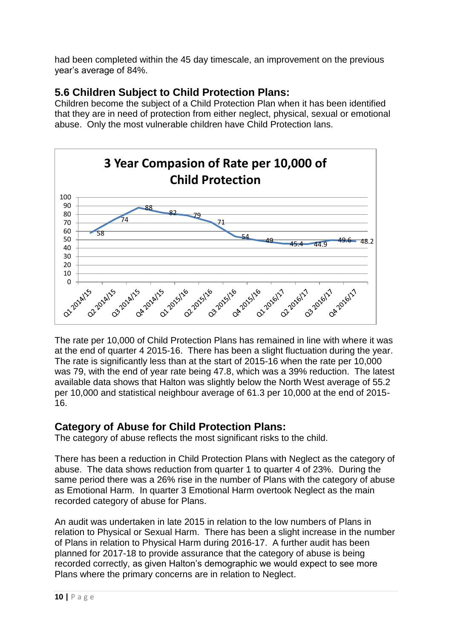had been completed within the 45 day timescale, an improvement on the previous year's average of 84%.

## **5.6 Children Subject to Child Protection Plans:**

Children become the subject of a Child Protection Plan when it has been identified that they are in need of protection from either neglect, physical, sexual or emotional abuse. Only the most vulnerable children have Child Protection lans.

![](_page_9_Figure_3.jpeg)

The rate per 10,000 of Child Protection Plans has remained in line with where it was at the end of quarter 4 2015-16. There has been a slight fluctuation during the year. The rate is significantly less than at the start of 2015-16 when the rate per 10,000 was 79, with the end of year rate being 47.8, which was a 39% reduction. The latest available data shows that Halton was slightly below the North West average of 55.2 per 10,000 and statistical neighbour average of 61.3 per 10,000 at the end of 2015- 16.

## **Category of Abuse for Child Protection Plans:**

The category of abuse reflects the most significant risks to the child.

There has been a reduction in Child Protection Plans with Neglect as the category of abuse. The data shows reduction from quarter 1 to quarter 4 of 23%. During the same period there was a 26% rise in the number of Plans with the category of abuse as Emotional Harm. In quarter 3 Emotional Harm overtook Neglect as the main recorded category of abuse for Plans.

An audit was undertaken in late 2015 in relation to the low numbers of Plans in relation to Physical or Sexual Harm. There has been a slight increase in the number of Plans in relation to Physical Harm during 2016-17. A further audit has been planned for 2017-18 to provide assurance that the category of abuse is being recorded correctly, as given Halton's demographic we would expect to see more Plans where the primary concerns are in relation to Neglect.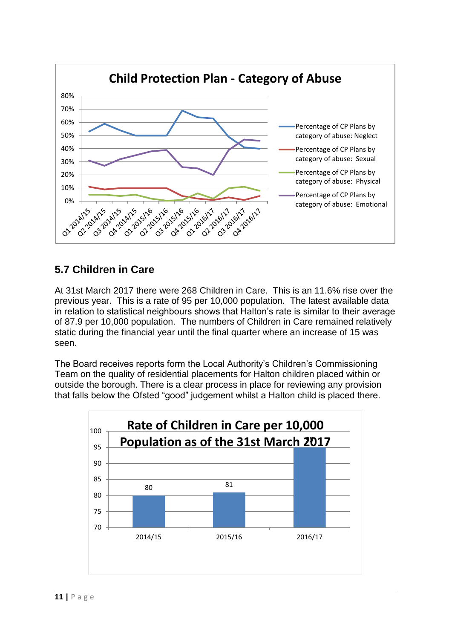![](_page_10_Figure_0.jpeg)

## **5.7 Children in Care**

At 31st March 2017 there were 268 Children in Care. This is an 11.6% rise over the previous year. This is a rate of 95 per 10,000 population. The latest available data in relation to statistical neighbours shows that Halton's rate is similar to their average of 87.9 per 10,000 population. The numbers of Children in Care remained relatively static during the financial year until the final quarter where an increase of 15 was seen.

The Board receives reports form the Local Authority's Children's Commissioning Team on the quality of residential placements for Halton children placed within or outside the borough. There is a clear process in place for reviewing any provision that falls below the Ofsted "good" judgement whilst a Halton child is placed there.

![](_page_10_Figure_4.jpeg)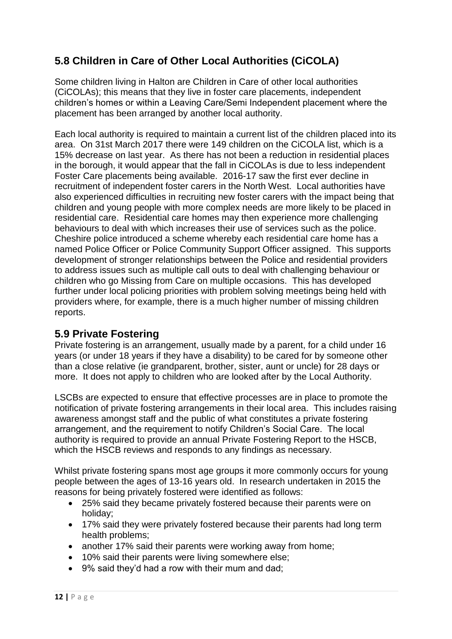## **5.8 Children in Care of Other Local Authorities (CiCOLA)**

Some children living in Halton are Children in Care of other local authorities (CiCOLAs); this means that they live in foster care placements, independent children's homes or within a Leaving Care/Semi Independent placement where the placement has been arranged by another local authority.

Each local authority is required to maintain a current list of the children placed into its area. On 31st March 2017 there were 149 children on the CiCOLA list, which is a 15% decrease on last year. As there has not been a reduction in residential places in the borough, it would appear that the fall in CiCOLAs is due to less independent Foster Care placements being available. 2016-17 saw the first ever decline in recruitment of independent foster carers in the North West. Local authorities have also experienced difficulties in recruiting new foster carers with the impact being that children and young people with more complex needs are more likely to be placed in residential care. Residential care homes may then experience more challenging behaviours to deal with which increases their use of services such as the police. Cheshire police introduced a scheme whereby each residential care home has a named Police Officer or Police Community Support Officer assigned. This supports development of stronger relationships between the Police and residential providers to address issues such as multiple call outs to deal with challenging behaviour or children who go Missing from Care on multiple occasions. This has developed further under local policing priorities with problem solving meetings being held with providers where, for example, there is a much higher number of missing children reports.

### **5.9 Private Fostering**

Private fostering is an arrangement, usually made by a parent, for a child under 16 years (or under 18 years if they have a disability) to be cared for by someone other than a close relative (ie grandparent, brother, sister, aunt or uncle) for 28 days or more. It does not apply to children who are looked after by the Local Authority.

LSCBs are expected to ensure that effective processes are in place to promote the notification of private fostering arrangements in their local area. This includes raising awareness amongst staff and the public of what constitutes a private fostering arrangement, and the requirement to notify Children's Social Care. The local authority is required to provide an annual Private Fostering Report to the HSCB, which the HSCB reviews and responds to any findings as necessary.

Whilst private fostering spans most age groups it more commonly occurs for young people between the ages of 13-16 years old. In research undertaken in 2015 the reasons for being privately fostered were identified as follows:

- 25% said they became privately fostered because their parents were on holiday;
- 17% said they were privately fostered because their parents had long term health problems;
- another 17% said their parents were working away from home:
- 10% said their parents were living somewhere else;
- 9% said they'd had a row with their mum and dad;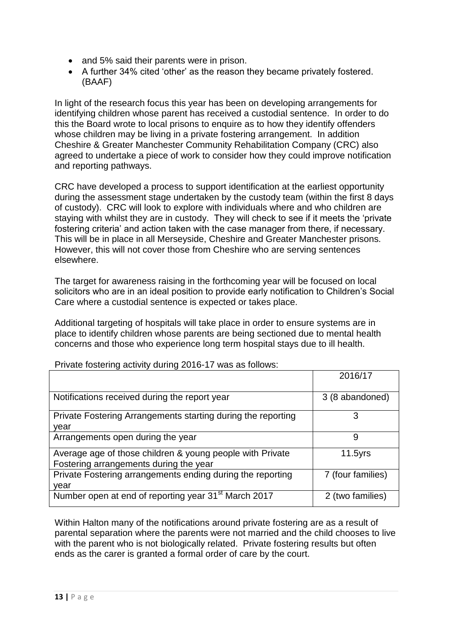- and 5% said their parents were in prison.
- A further 34% cited 'other' as the reason they became privately fostered. (BAAF)

In light of the research focus this year has been on developing arrangements for identifying children whose parent has received a custodial sentence. In order to do this the Board wrote to local prisons to enquire as to how they identify offenders whose children may be living in a private fostering arrangement. In addition Cheshire & Greater Manchester Community Rehabilitation Company (CRC) also agreed to undertake a piece of work to consider how they could improve notification and reporting pathways.

CRC have developed a process to support identification at the earliest opportunity during the assessment stage undertaken by the custody team (within the first 8 days of custody). CRC will look to explore with individuals where and who children are staying with whilst they are in custody. They will check to see if it meets the 'private fostering criteria' and action taken with the case manager from there, if necessary. This will be in place in all Merseyside, Cheshire and Greater Manchester prisons. However, this will not cover those from Cheshire who are serving sentences elsewhere.

The target for awareness raising in the forthcoming year will be focused on local solicitors who are in an ideal position to provide early notification to Children's Social Care where a custodial sentence is expected or takes place.

Additional targeting of hospitals will take place in order to ensure systems are in place to identify children whose parents are being sectioned due to mental health concerns and those who experience long term hospital stays due to ill health.

|                                                                                                     | 2016/17           |
|-----------------------------------------------------------------------------------------------------|-------------------|
| Notifications received during the report year                                                       | 3 (8 abandoned)   |
| Private Fostering Arrangements starting during the reporting<br>vear                                |                   |
| Arrangements open during the year                                                                   | 9                 |
| Average age of those children & young people with Private<br>Fostering arrangements during the year | $11.5$ yrs        |
| Private Fostering arrangements ending during the reporting<br>vear                                  | 7 (four families) |
| Number open at end of reporting year 31 <sup>st</sup> March 2017                                    | 2 (two families)  |

Private fostering activity during 2016-17 was as follows:

Within Halton many of the notifications around private fostering are as a result of parental separation where the parents were not married and the child chooses to live with the parent who is not biologically related. Private fostering results but often ends as the carer is granted a formal order of care by the court.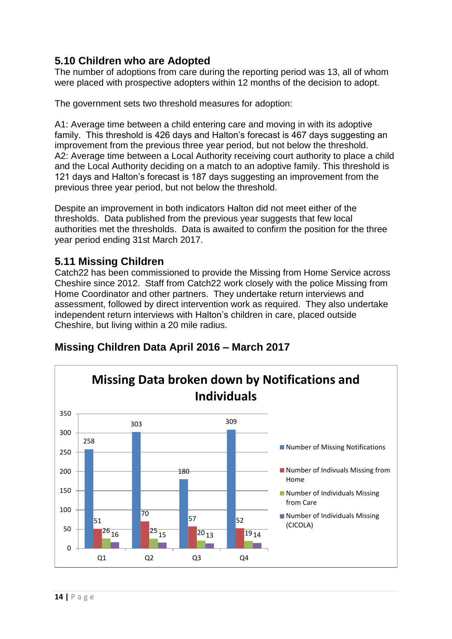## **5.10 Children who are Adopted**

The number of adoptions from care during the reporting period was 13, all of whom were placed with prospective adopters within 12 months of the decision to adopt.

The government sets two threshold measures for adoption:

A1: Average time between a child entering care and moving in with its adoptive family. This threshold is 426 days and Halton's forecast is 467 days suggesting an improvement from the previous three year period, but not below the threshold. A2: Average time between a Local Authority receiving court authority to place a child and the Local Authority deciding on a match to an adoptive family. This threshold is 121 days and Halton's forecast is 187 days suggesting an improvement from the previous three year period, but not below the threshold.

Despite an improvement in both indicators Halton did not meet either of the thresholds. Data published from the previous year suggests that few local authorities met the thresholds. Data is awaited to confirm the position for the three year period ending 31st March 2017.

### **5.11 Missing Children**

Catch22 has been commissioned to provide the Missing from Home Service across Cheshire since 2012. Staff from Catch22 work closely with the police Missing from Home Coordinator and other partners. They undertake return interviews and assessment, followed by direct intervention work as required. They also undertake independent return interviews with Halton's children in care, placed outside Cheshire, but living within a 20 mile radius.

![](_page_13_Figure_7.jpeg)

### **Missing Children Data April 2016 – March 2017**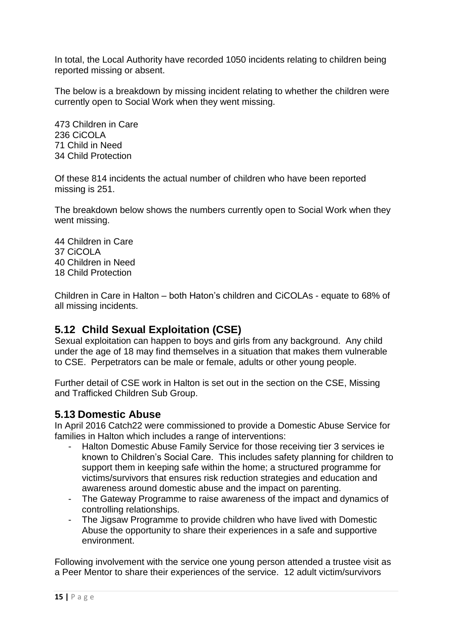In total, the Local Authority have recorded 1050 incidents relating to children being reported missing or absent.

The below is a breakdown by missing incident relating to whether the children were currently open to Social Work when they went missing.

473 Children in Care 236 CiCOLA 71 Child in Need 34 Child Protection

Of these 814 incidents the actual number of children who have been reported missing is 251.

The breakdown below shows the numbers currently open to Social Work when they went missing.

44 Children in Care 37 CiCOLA 40 Children in Need 18 Child Protection

Children in Care in Halton – both Haton's children and CiCOLAs - equate to 68% of all missing incidents.

### **5.12 Child Sexual Exploitation (CSE)**

Sexual exploitation can happen to boys and girls from any background. Any child under the age of 18 may find themselves in a situation that makes them vulnerable to CSE. Perpetrators can be male or female, adults or other young people.

Further detail of CSE work in Halton is set out in the section on the CSE, Missing and Trafficked Children Sub Group.

#### **5.13 Domestic Abuse**

In April 2016 Catch22 were commissioned to provide a Domestic Abuse Service for families in Halton which includes a range of interventions:

- Halton Domestic Abuse Family Service for those receiving tier 3 services ie known to Children's Social Care. This includes safety planning for children to support them in keeping safe within the home; a structured programme for victims/survivors that ensures risk reduction strategies and education and awareness around domestic abuse and the impact on parenting.
- The Gateway Programme to raise awareness of the impact and dynamics of controlling relationships.
- The Jigsaw Programme to provide children who have lived with Domestic Abuse the opportunity to share their experiences in a safe and supportive environment.

Following involvement with the service one young person attended a trustee visit as a Peer Mentor to share their experiences of the service. 12 adult victim/survivors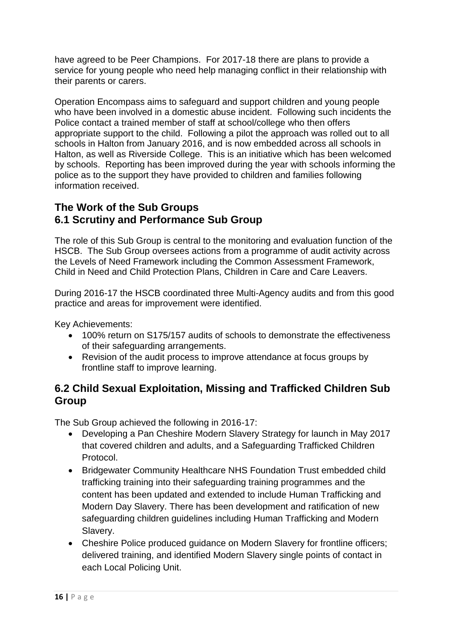have agreed to be Peer Champions. For 2017-18 there are plans to provide a service for young people who need help managing conflict in their relationship with their parents or carers.

Operation Encompass aims to safeguard and support children and young people who have been involved in a domestic abuse incident. Following such incidents the Police contact a trained member of staff at school/college who then offers appropriate support to the child. Following a pilot the approach was rolled out to all schools in Halton from January 2016, and is now embedded across all schools in Halton, as well as Riverside College. This is an initiative which has been welcomed by schools. Reporting has been improved during the year with schools informing the police as to the support they have provided to children and families following information received.

## **The Work of the Sub Groups 6.1 Scrutiny and Performance Sub Group**

The role of this Sub Group is central to the monitoring and evaluation function of the HSCB. The Sub Group oversees actions from a programme of audit activity across the Levels of Need Framework including the Common Assessment Framework, Child in Need and Child Protection Plans, Children in Care and Care Leavers.

During 2016-17 the HSCB coordinated three Multi-Agency audits and from this good practice and areas for improvement were identified.

Key Achievements:

- 100% return on S175/157 audits of schools to demonstrate the effectiveness of their safeguarding arrangements.
- Revision of the audit process to improve attendance at focus groups by frontline staff to improve learning.

## **6.2 Child Sexual Exploitation, Missing and Trafficked Children Sub Group**

The Sub Group achieved the following in 2016-17:

- Developing a Pan Cheshire Modern Slavery Strategy for launch in May 2017 that covered children and adults, and a Safeguarding Trafficked Children Protocol.
- Bridgewater Community Healthcare NHS Foundation Trust embedded child trafficking training into their safeguarding training programmes and the content has been updated and extended to include Human Trafficking and Modern Day Slavery. There has been development and ratification of new safeguarding children guidelines including Human Trafficking and Modern Slavery.
- Cheshire Police produced guidance on Modern Slavery for frontline officers; delivered training, and identified Modern Slavery single points of contact in each Local Policing Unit.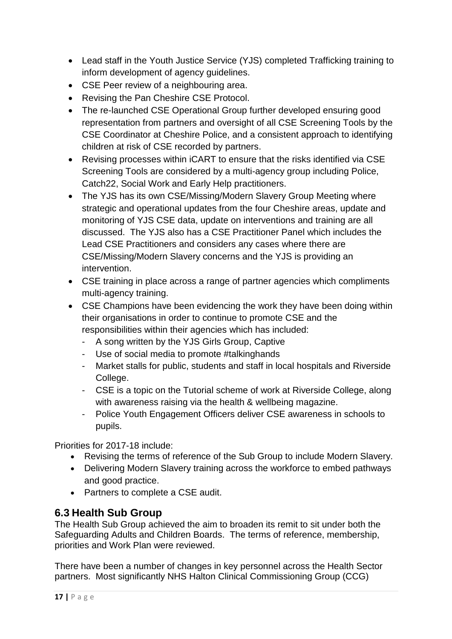- Lead staff in the Youth Justice Service (YJS) completed Trafficking training to inform development of agency guidelines.
- CSE Peer review of a neighbouring area.
- Revising the Pan Cheshire CSE Protocol.
- The re-launched CSE Operational Group further developed ensuring good representation from partners and oversight of all CSE Screening Tools by the CSE Coordinator at Cheshire Police, and a consistent approach to identifying children at risk of CSE recorded by partners.
- Revising processes within iCART to ensure that the risks identified via CSE Screening Tools are considered by a multi-agency group including Police, Catch22, Social Work and Early Help practitioners.
- The YJS has its own CSE/Missing/Modern Slavery Group Meeting where strategic and operational updates from the four Cheshire areas, update and monitoring of YJS CSE data, update on interventions and training are all discussed. The YJS also has a CSE Practitioner Panel which includes the Lead CSE Practitioners and considers any cases where there are CSE/Missing/Modern Slavery concerns and the YJS is providing an intervention.
- CSE training in place across a range of partner agencies which compliments multi-agency training.
- CSE Champions have been evidencing the work they have been doing within their organisations in order to continue to promote CSE and the responsibilities within their agencies which has included:
	- A song written by the YJS Girls Group, Captive
	- Use of social media to promote #talkinghands
	- Market stalls for public, students and staff in local hospitals and Riverside College.
	- CSE is a topic on the Tutorial scheme of work at Riverside College, along with awareness raising via the health & wellbeing magazine.
	- Police Youth Engagement Officers deliver CSE awareness in schools to pupils.

Priorities for 2017-18 include:

- Revising the terms of reference of the Sub Group to include Modern Slavery.
- Delivering Modern Slavery training across the workforce to embed pathways and good practice.
- Partners to complete a CSE audit.

### **6.3 Health Sub Group**

The Health Sub Group achieved the aim to broaden its remit to sit under both the Safeguarding Adults and Children Boards. The terms of reference, membership, priorities and Work Plan were reviewed.

There have been a number of changes in key personnel across the Health Sector partners. Most significantly NHS Halton Clinical Commissioning Group (CCG)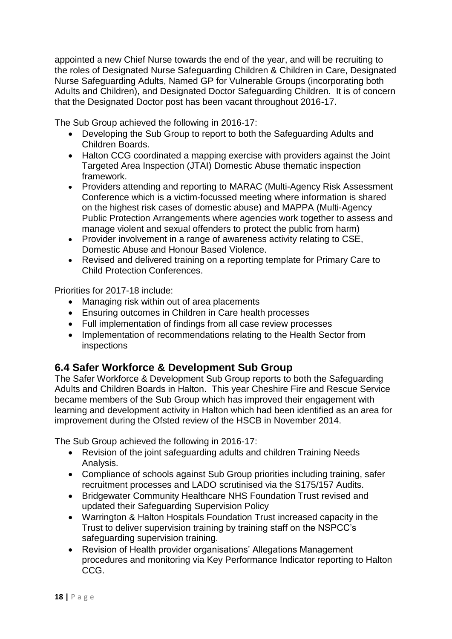appointed a new Chief Nurse towards the end of the year, and will be recruiting to the roles of Designated Nurse Safeguarding Children & Children in Care, Designated Nurse Safeguarding Adults, Named GP for Vulnerable Groups (incorporating both Adults and Children), and Designated Doctor Safeguarding Children. It is of concern that the Designated Doctor post has been vacant throughout 2016-17.

The Sub Group achieved the following in 2016-17:

- Developing the Sub Group to report to both the Safeguarding Adults and Children Boards.
- Halton CCG coordinated a mapping exercise with providers against the Joint Targeted Area Inspection (JTAI) Domestic Abuse thematic inspection framework.
- Providers attending and reporting to MARAC (Multi-Agency Risk Assessment Conference which is a victim-focussed meeting where information is shared on the highest risk cases of domestic abuse) and MAPPA (Multi-Agency Public Protection Arrangements where agencies work together to assess and manage violent and sexual offenders to protect the public from harm)
- Provider involvement in a range of awareness activity relating to CSE, Domestic Abuse and Honour Based Violence.
- Revised and delivered training on a reporting template for Primary Care to Child Protection Conferences.

Priorities for 2017-18 include:

- Managing risk within out of area placements
- Ensuring outcomes in Children in Care health processes
- Full implementation of findings from all case review processes
- Implementation of recommendations relating to the Health Sector from inspections

## **6.4 Safer Workforce & Development Sub Group**

The Safer Workforce & Development Sub Group reports to both the Safeguarding Adults and Children Boards in Halton. This year Cheshire Fire and Rescue Service became members of the Sub Group which has improved their engagement with learning and development activity in Halton which had been identified as an area for improvement during the Ofsted review of the HSCB in November 2014.

The Sub Group achieved the following in 2016-17:

- Revision of the joint safeguarding adults and children Training Needs Analysis.
- Compliance of schools against Sub Group priorities including training, safer recruitment processes and LADO scrutinised via the S175/157 Audits.
- Bridgewater Community Healthcare NHS Foundation Trust revised and updated their Safeguarding Supervision Policy
- Warrington & Halton Hospitals Foundation Trust increased capacity in the Trust to deliver supervision training by training staff on the NSPCC's safeguarding supervision training.
- Revision of Health provider organisations' Allegations Management procedures and monitoring via Key Performance Indicator reporting to Halton CCG.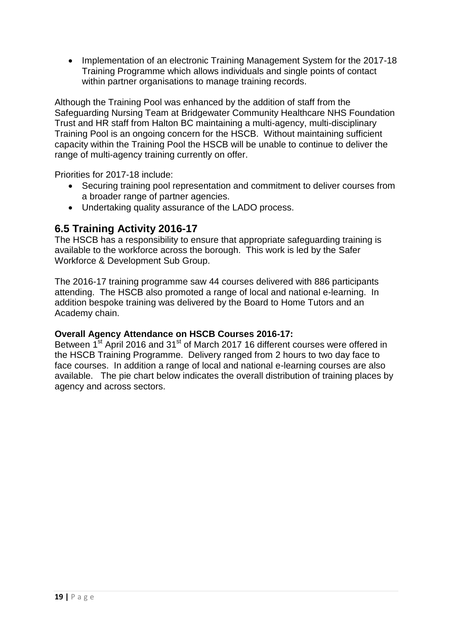• Implementation of an electronic Training Management System for the 2017-18 Training Programme which allows individuals and single points of contact within partner organisations to manage training records.

Although the Training Pool was enhanced by the addition of staff from the Safeguarding Nursing Team at Bridgewater Community Healthcare NHS Foundation Trust and HR staff from Halton BC maintaining a multi-agency, multi-disciplinary Training Pool is an ongoing concern for the HSCB. Without maintaining sufficient capacity within the Training Pool the HSCB will be unable to continue to deliver the range of multi-agency training currently on offer.

Priorities for 2017-18 include:

- Securing training pool representation and commitment to deliver courses from a broader range of partner agencies.
- Undertaking quality assurance of the LADO process.

#### **6.5 Training Activity 2016-17**

The HSCB has a responsibility to ensure that appropriate safeguarding training is available to the workforce across the borough. This work is led by the Safer Workforce & Development Sub Group.

The 2016-17 training programme saw 44 courses delivered with 886 participants attending. The HSCB also promoted a range of local and national e-learning. In addition bespoke training was delivered by the Board to Home Tutors and an Academy chain.

#### **Overall Agency Attendance on HSCB Courses 2016-17:**

Between  $1^{st}$  April 2016 and 31<sup>st</sup> of March 2017 16 different courses were offered in the HSCB Training Programme. Delivery ranged from 2 hours to two day face to face courses. In addition a range of local and national e-learning courses are also available. The pie chart below indicates the overall distribution of training places by agency and across sectors.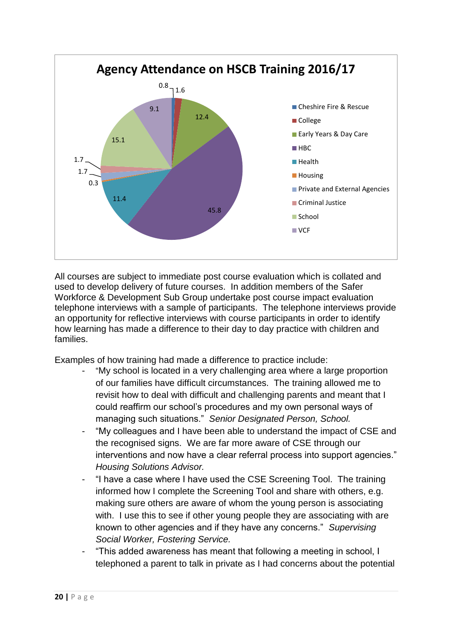![](_page_19_Figure_0.jpeg)

All courses are subject to immediate post course evaluation which is collated and used to develop delivery of future courses. In addition members of the Safer Workforce & Development Sub Group undertake post course impact evaluation telephone interviews with a sample of participants. The telephone interviews provide an opportunity for reflective interviews with course participants in order to identify how learning has made a difference to their day to day practice with children and families.

Examples of how training had made a difference to practice include:

- "My school is located in a very challenging area where a large proportion of our families have difficult circumstances. The training allowed me to revisit how to deal with difficult and challenging parents and meant that I could reaffirm our school's procedures and my own personal ways of managing such situations." *Senior Designated Person, School.*
- "My colleagues and I have been able to understand the impact of CSE and the recognised signs. We are far more aware of CSE through our interventions and now have a clear referral process into support agencies." *Housing Solutions Advisor.*
- "I have a case where I have used the CSE Screening Tool. The training informed how I complete the Screening Tool and share with others, e.g. making sure others are aware of whom the young person is associating with. I use this to see if other young people they are associating with are known to other agencies and if they have any concerns." *Supervising Social Worker, Fostering Service.*
- "This added awareness has meant that following a meeting in school, I telephoned a parent to talk in private as I had concerns about the potential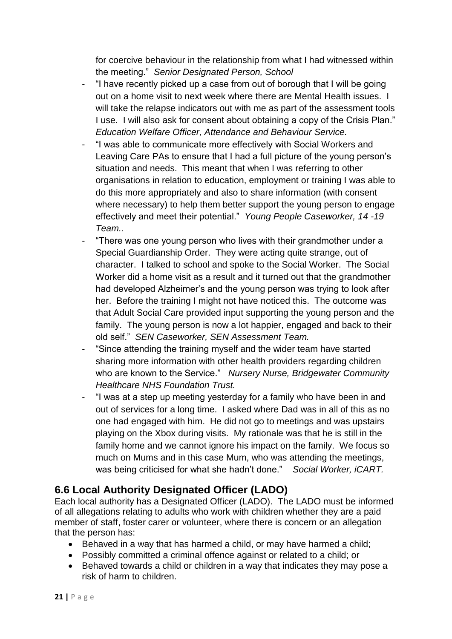for coercive behaviour in the relationship from what I had witnessed within the meeting." *Senior Designated Person, School*

- "I have recently picked up a case from out of borough that I will be going out on a home visit to next week where there are Mental Health issues. I will take the relapse indicators out with me as part of the assessment tools I use. I will also ask for consent about obtaining a copy of the Crisis Plan." *Education Welfare Officer, Attendance and Behaviour Service.*
- "I was able to communicate more effectively with Social Workers and Leaving Care PAs to ensure that I had a full picture of the young person's situation and needs. This meant that when I was referring to other organisations in relation to education, employment or training I was able to do this more appropriately and also to share information (with consent where necessary) to help them better support the young person to engage effectively and meet their potential." *Young People Caseworker, 14 -19 Team..*
- "There was one young person who lives with their grandmother under a Special Guardianship Order. They were acting quite strange, out of character. I talked to school and spoke to the Social Worker. The Social Worker did a home visit as a result and it turned out that the grandmother had developed Alzheimer's and the young person was trying to look after her. Before the training I might not have noticed this. The outcome was that Adult Social Care provided input supporting the young person and the family. The young person is now a lot happier, engaged and back to their old self." *SEN Caseworker, SEN Assessment Team.*
- "Since attending the training myself and the wider team have started sharing more information with other health providers regarding children who are known to the Service." *Nursery Nurse, Bridgewater Community Healthcare NHS Foundation Trust.*
- "I was at a step up meeting yesterday for a family who have been in and out of services for a long time. I asked where Dad was in all of this as no one had engaged with him. He did not go to meetings and was upstairs playing on the Xbox during visits. My rationale was that he is still in the family home and we cannot ignore his impact on the family. We focus so much on Mums and in this case Mum, who was attending the meetings, was being criticised for what she hadn't done." *Social Worker, iCART.*

## **6.6 Local Authority Designated Officer (LADO)**

Each local authority has a Designated Officer (LADO). The LADO must be informed of all allegations relating to adults who work with children whether they are a paid member of staff, foster carer or volunteer, where there is concern or an allegation that the person has:

- Behaved in a way that has harmed a child, or may have harmed a child;
- Possibly committed a criminal offence against or related to a child; or
- Behaved towards a child or children in a way that indicates they may pose a risk of harm to children.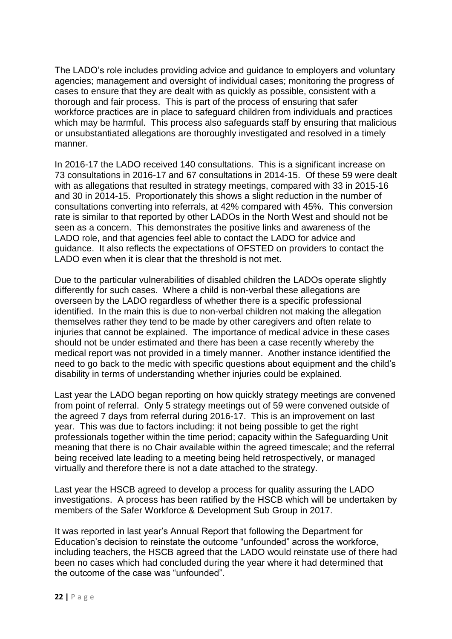The LADO's role includes providing advice and guidance to employers and voluntary agencies; management and oversight of individual cases; monitoring the progress of cases to ensure that they are dealt with as quickly as possible, consistent with a thorough and fair process. This is part of the process of ensuring that safer workforce practices are in place to safeguard children from individuals and practices which may be harmful. This process also safeguards staff by ensuring that malicious or unsubstantiated allegations are thoroughly investigated and resolved in a timely manner.

In 2016-17 the LADO received 140 consultations. This is a significant increase on 73 consultations in 2016-17 and 67 consultations in 2014-15. Of these 59 were dealt with as allegations that resulted in strategy meetings, compared with 33 in 2015-16 and 30 in 2014-15. Proportionately this shows a slight reduction in the number of consultations converting into referrals, at 42% compared with 45%. This conversion rate is similar to that reported by other LADOs in the North West and should not be seen as a concern. This demonstrates the positive links and awareness of the LADO role, and that agencies feel able to contact the LADO for advice and guidance. It also reflects the expectations of OFSTED on providers to contact the LADO even when it is clear that the threshold is not met.

Due to the particular vulnerabilities of disabled children the LADOs operate slightly differently for such cases. Where a child is non-verbal these allegations are overseen by the LADO regardless of whether there is a specific professional identified. In the main this is due to non-verbal children not making the allegation themselves rather they tend to be made by other caregivers and often relate to injuries that cannot be explained. The importance of medical advice in these cases should not be under estimated and there has been a case recently whereby the medical report was not provided in a timely manner. Another instance identified the need to go back to the medic with specific questions about equipment and the child's disability in terms of understanding whether injuries could be explained.

Last year the LADO began reporting on how quickly strategy meetings are convened from point of referral. Only 5 strategy meetings out of 59 were convened outside of the agreed 7 days from referral during 2016-17. This is an improvement on last year. This was due to factors including: it not being possible to get the right professionals together within the time period; capacity within the Safeguarding Unit meaning that there is no Chair available within the agreed timescale; and the referral being received late leading to a meeting being held retrospectively, or managed virtually and therefore there is not a date attached to the strategy.

Last year the HSCB agreed to develop a process for quality assuring the LADO investigations. A process has been ratified by the HSCB which will be undertaken by members of the Safer Workforce & Development Sub Group in 2017.

It was reported in last year's Annual Report that following the Department for Education's decision to reinstate the outcome "unfounded" across the workforce, including teachers, the HSCB agreed that the LADO would reinstate use of there had been no cases which had concluded during the year where it had determined that the outcome of the case was "unfounded".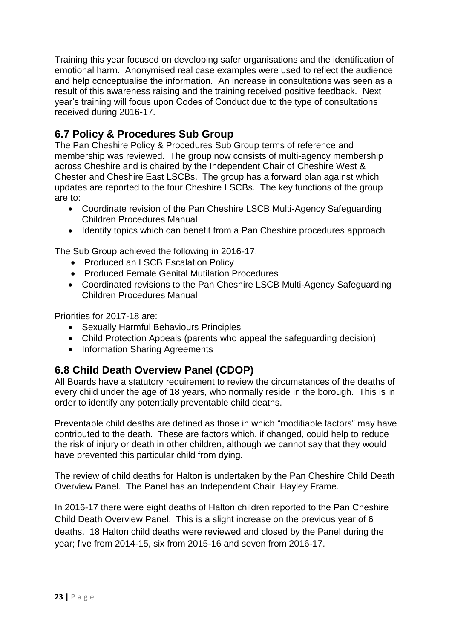Training this year focused on developing safer organisations and the identification of emotional harm. Anonymised real case examples were used to reflect the audience and help conceptualise the information. An increase in consultations was seen as a result of this awareness raising and the training received positive feedback. Next year's training will focus upon Codes of Conduct due to the type of consultations received during 2016-17.

## **6.7 Policy & Procedures Sub Group**

The Pan Cheshire Policy & Procedures Sub Group terms of reference and membership was reviewed. The group now consists of multi-agency membership across Cheshire and is chaired by the Independent Chair of Cheshire West & Chester and Cheshire East LSCBs. The group has a forward plan against which updates are reported to the four Cheshire LSCBs. The key functions of the group are to:

- Coordinate revision of the Pan Cheshire LSCB Multi-Agency Safeguarding Children Procedures Manual
- Identify topics which can benefit from a Pan Cheshire procedures approach

The Sub Group achieved the following in 2016-17:

- Produced an LSCB Escalation Policy
- Produced Female Genital Mutilation Procedures
- Coordinated revisions to the Pan Cheshire LSCB Multi-Agency Safeguarding Children Procedures Manual

Priorities for 2017-18 are:

- Sexually Harmful Behaviours Principles
- Child Protection Appeals (parents who appeal the safeguarding decision)
- Information Sharing Agreements

### **6.8 Child Death Overview Panel (CDOP)**

All Boards have a statutory requirement to review the circumstances of the deaths of every child under the age of 18 years, who normally reside in the borough. This is in order to identify any potentially preventable child deaths.

Preventable child deaths are defined as those in which "modifiable factors" may have contributed to the death. These are factors which, if changed, could help to reduce the risk of injury or death in other children, although we cannot say that they would have prevented this particular child from dying.

The review of child deaths for Halton is undertaken by the Pan Cheshire Child Death Overview Panel. The Panel has an Independent Chair, Hayley Frame.

In 2016-17 there were eight deaths of Halton children reported to the Pan Cheshire Child Death Overview Panel. This is a slight increase on the previous year of 6 deaths. 18 Halton child deaths were reviewed and closed by the Panel during the year; five from 2014-15, six from 2015-16 and seven from 2016-17.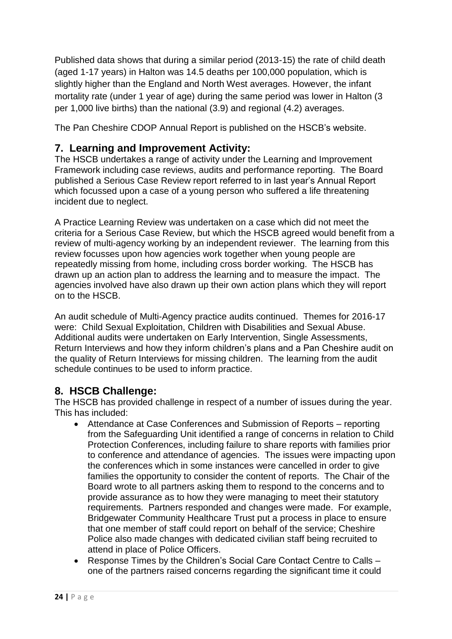Published data shows that during a similar period (2013-15) the rate of child death (aged 1-17 years) in Halton was 14.5 deaths per 100,000 population, which is slightly higher than the England and North West averages. However, the infant mortality rate (under 1 year of age) during the same period was lower in Halton (3 per 1,000 live births) than the national (3.9) and regional (4.2) averages.

The Pan Cheshire CDOP Annual Report is published on the HSCB's website.

### **7. Learning and Improvement Activity:**

The HSCB undertakes a range of activity under the Learning and Improvement Framework including case reviews, audits and performance reporting. The Board published a Serious Case Review report referred to in last year's Annual Report which focussed upon a case of a young person who suffered a life threatening incident due to neglect.

A Practice Learning Review was undertaken on a case which did not meet the criteria for a Serious Case Review, but which the HSCB agreed would benefit from a review of multi-agency working by an independent reviewer. The learning from this review focusses upon how agencies work together when young people are repeatedly missing from home, including cross border working. The HSCB has drawn up an action plan to address the learning and to measure the impact. The agencies involved have also drawn up their own action plans which they will report on to the HSCB.

An audit schedule of Multi-Agency practice audits continued. Themes for 2016-17 were: Child Sexual Exploitation, Children with Disabilities and Sexual Abuse. Additional audits were undertaken on Early Intervention, Single Assessments, Return Interviews and how they inform children's plans and a Pan Cheshire audit on the quality of Return Interviews for missing children. The learning from the audit schedule continues to be used to inform practice.

## **8. HSCB Challenge:**

The HSCB has provided challenge in respect of a number of issues during the year. This has included:

- Attendance at Case Conferences and Submission of Reports reporting from the Safeguarding Unit identified a range of concerns in relation to Child Protection Conferences, including failure to share reports with families prior to conference and attendance of agencies. The issues were impacting upon the conferences which in some instances were cancelled in order to give families the opportunity to consider the content of reports. The Chair of the Board wrote to all partners asking them to respond to the concerns and to provide assurance as to how they were managing to meet their statutory requirements. Partners responded and changes were made. For example, Bridgewater Community Healthcare Trust put a process in place to ensure that one member of staff could report on behalf of the service; Cheshire Police also made changes with dedicated civilian staff being recruited to attend in place of Police Officers.
- Response Times by the Children's Social Care Contact Centre to Calls one of the partners raised concerns regarding the significant time it could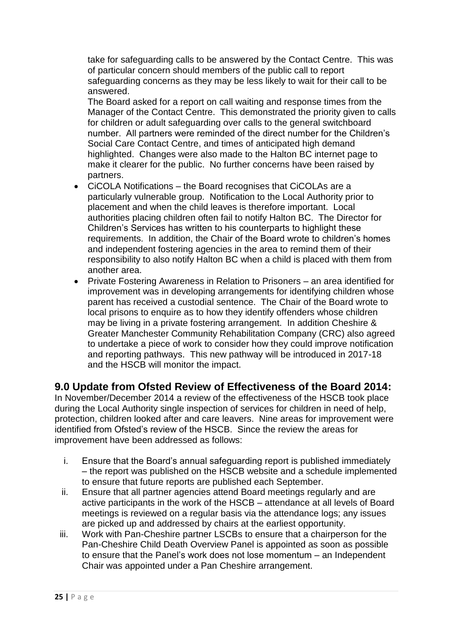take for safeguarding calls to be answered by the Contact Centre. This was of particular concern should members of the public call to report safeguarding concerns as they may be less likely to wait for their call to be answered.

The Board asked for a report on call waiting and response times from the Manager of the Contact Centre. This demonstrated the priority given to calls for children or adult safeguarding over calls to the general switchboard number. All partners were reminded of the direct number for the Children's Social Care Contact Centre, and times of anticipated high demand highlighted. Changes were also made to the Halton BC internet page to make it clearer for the public. No further concerns have been raised by partners.

- CiCOLA Notifications the Board recognises that CiCOLAs are a particularly vulnerable group. Notification to the Local Authority prior to placement and when the child leaves is therefore important. Local authorities placing children often fail to notify Halton BC. The Director for Children's Services has written to his counterparts to highlight these requirements. In addition, the Chair of the Board wrote to children's homes and independent fostering agencies in the area to remind them of their responsibility to also notify Halton BC when a child is placed with them from another area.
- Private Fostering Awareness in Relation to Prisoners an area identified for improvement was in developing arrangements for identifying children whose parent has received a custodial sentence. The Chair of the Board wrote to local prisons to enquire as to how they identify offenders whose children may be living in a private fostering arrangement. In addition Cheshire & Greater Manchester Community Rehabilitation Company (CRC) also agreed to undertake a piece of work to consider how they could improve notification and reporting pathways. This new pathway will be introduced in 2017-18 and the HSCB will monitor the impact.

#### **9.0 Update from Ofsted Review of Effectiveness of the Board 2014:**

In November/December 2014 a review of the effectiveness of the HSCB took place during the Local Authority single inspection of services for children in need of help, protection, children looked after and care leavers. Nine areas for improvement were identified from Ofsted's review of the HSCB. Since the review the areas for improvement have been addressed as follows:

- i. Ensure that the Board's annual safeguarding report is published immediately – the report was published on the HSCB website and a schedule implemented to ensure that future reports are published each September.
- ii. Ensure that all partner agencies attend Board meetings regularly and are active participants in the work of the HSCB – attendance at all levels of Board meetings is reviewed on a regular basis via the attendance logs; any issues are picked up and addressed by chairs at the earliest opportunity.
- iii. Work with Pan-Cheshire partner LSCBs to ensure that a chairperson for the Pan-Cheshire Child Death Overview Panel is appointed as soon as possible to ensure that the Panel's work does not lose momentum – an Independent Chair was appointed under a Pan Cheshire arrangement.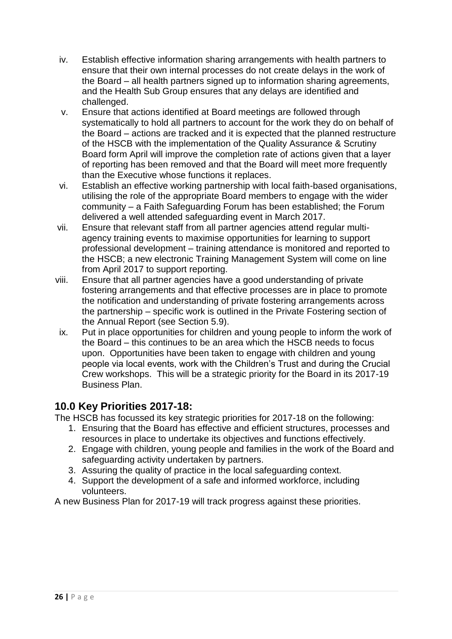- iv. Establish effective information sharing arrangements with health partners to ensure that their own internal processes do not create delays in the work of the Board – all health partners signed up to information sharing agreements, and the Health Sub Group ensures that any delays are identified and challenged.
- v. Ensure that actions identified at Board meetings are followed through systematically to hold all partners to account for the work they do on behalf of the Board – actions are tracked and it is expected that the planned restructure of the HSCB with the implementation of the Quality Assurance & Scrutiny Board form April will improve the completion rate of actions given that a layer of reporting has been removed and that the Board will meet more frequently than the Executive whose functions it replaces.
- vi. Establish an effective working partnership with local faith-based organisations, utilising the role of the appropriate Board members to engage with the wider community – a Faith Safeguarding Forum has been established; the Forum delivered a well attended safeguarding event in March 2017.
- vii. Ensure that relevant staff from all partner agencies attend regular multiagency training events to maximise opportunities for learning to support professional development – training attendance is monitored and reported to the HSCB; a new electronic Training Management System will come on line from April 2017 to support reporting.
- viii. Ensure that all partner agencies have a good understanding of private fostering arrangements and that effective processes are in place to promote the notification and understanding of private fostering arrangements across the partnership – specific work is outlined in the Private Fostering section of the Annual Report (see Section 5.9).
- ix. Put in place opportunities for children and young people to inform the work of the Board – this continues to be an area which the HSCB needs to focus upon. Opportunities have been taken to engage with children and young people via local events, work with the Children's Trust and during the Crucial Crew workshops. This will be a strategic priority for the Board in its 2017-19 Business Plan.

## **10.0 Key Priorities 2017-18:**

The HSCB has focussed its key strategic priorities for 2017-18 on the following:

- 1. Ensuring that the Board has effective and efficient structures, processes and resources in place to undertake its objectives and functions effectively.
- 2. Engage with children, young people and families in the work of the Board and safeguarding activity undertaken by partners.
- 3. Assuring the quality of practice in the local safeguarding context.
- 4. Support the development of a safe and informed workforce, including volunteers.

A new Business Plan for 2017-19 will track progress against these priorities.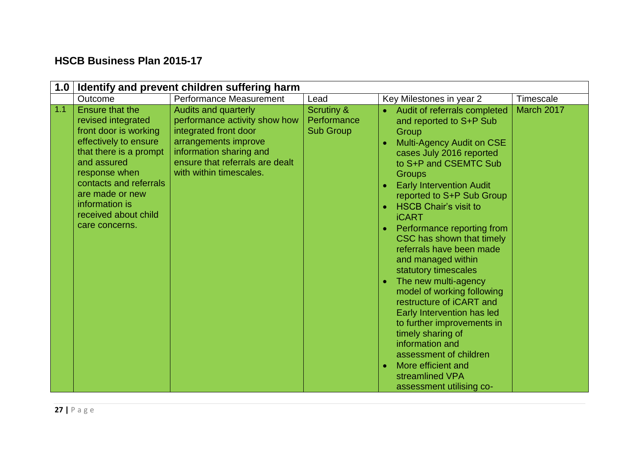## **HSCB Business Plan 2015-17**

| 1.0 | Identify and prevent children suffering harm                                                                                                                                                                                                               |                                                                                                                                                                                                        |                                                          |                                                                                                                                                                                                                                                                                                                                                                                                                                                                                                                                                                                                                                                                                                                                   |            |  |  |  |
|-----|------------------------------------------------------------------------------------------------------------------------------------------------------------------------------------------------------------------------------------------------------------|--------------------------------------------------------------------------------------------------------------------------------------------------------------------------------------------------------|----------------------------------------------------------|-----------------------------------------------------------------------------------------------------------------------------------------------------------------------------------------------------------------------------------------------------------------------------------------------------------------------------------------------------------------------------------------------------------------------------------------------------------------------------------------------------------------------------------------------------------------------------------------------------------------------------------------------------------------------------------------------------------------------------------|------------|--|--|--|
|     | Outcome                                                                                                                                                                                                                                                    | Performance Measurement                                                                                                                                                                                | Lead                                                     | Key Milestones in year 2                                                                                                                                                                                                                                                                                                                                                                                                                                                                                                                                                                                                                                                                                                          | Timescale  |  |  |  |
| 1.1 | Ensure that the<br>revised integrated<br>front door is working<br>effectively to ensure<br>that there is a prompt<br>and assured<br>response when<br>contacts and referrals<br>are made or new<br>information is<br>received about child<br>care concerns. | <b>Audits and quarterly</b><br>performance activity show how<br>integrated front door<br>arrangements improve<br>information sharing and<br>ensure that referrals are dealt<br>with within timescales. | <b>Scrutiny &amp;</b><br>Performance<br><b>Sub Group</b> | Audit of referrals completed<br>and reported to S+P Sub<br>Group<br>Multi-Agency Audit on CSE<br>cases July 2016 reported<br>to S+P and CSEMTC Sub<br><b>Groups</b><br><b>Early Intervention Audit</b><br>reported to S+P Sub Group<br><b>HSCB Chair's visit to</b><br><b>iCART</b><br>Performance reporting from<br>CSC has shown that timely<br>referrals have been made<br>and managed within<br>statutory timescales<br>The new multi-agency<br>model of working following<br>restructure of <i>iCART</i> and<br>Early Intervention has led<br>to further improvements in<br>timely sharing of<br>information and<br>assessment of children<br>More efficient and<br>$\bullet$<br>streamlined VPA<br>assessment utilising co- | March 2017 |  |  |  |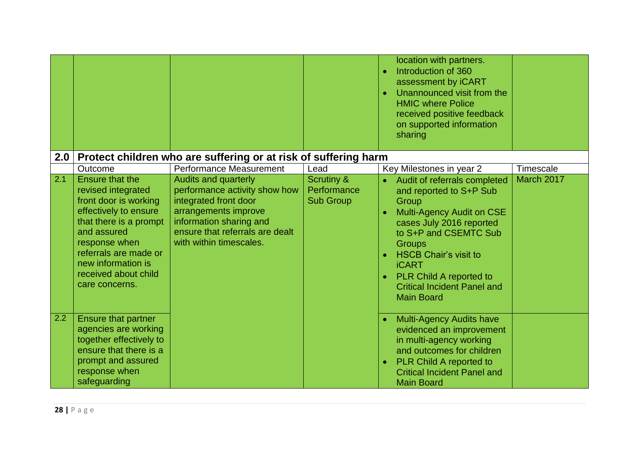|     |                                                                                                                                                                                                                                            |                                                                                                                                                                                                        |                                                          | location with partners.<br>Introduction of 360<br>$\bullet$<br>assessment by iCART<br>Unannounced visit from the<br>$\bullet$<br><b>HMIC where Police</b><br>received positive feedback<br>on supported information<br>sharing                                                                                                       |
|-----|--------------------------------------------------------------------------------------------------------------------------------------------------------------------------------------------------------------------------------------------|--------------------------------------------------------------------------------------------------------------------------------------------------------------------------------------------------------|----------------------------------------------------------|--------------------------------------------------------------------------------------------------------------------------------------------------------------------------------------------------------------------------------------------------------------------------------------------------------------------------------------|
| 2.0 |                                                                                                                                                                                                                                            | Protect children who are suffering or at risk of suffering harm                                                                                                                                        |                                                          |                                                                                                                                                                                                                                                                                                                                      |
|     | Outcome                                                                                                                                                                                                                                    | Performance Measurement                                                                                                                                                                                | Lead                                                     | Timescale<br>Key Milestones in year 2                                                                                                                                                                                                                                                                                                |
| 2.1 | Ensure that the<br>revised integrated<br>front door is working<br>effectively to ensure<br>that there is a prompt<br>and assured<br>response when<br>referrals are made or<br>new information is<br>received about child<br>care concerns. | <b>Audits and quarterly</b><br>performance activity show how<br>integrated front door<br>arrangements improve<br>information sharing and<br>ensure that referrals are dealt<br>with within timescales. | <b>Scrutiny &amp;</b><br>Performance<br><b>Sub Group</b> | March 2017<br>Audit of referrals completed<br>and reported to S+P Sub<br>Group<br>Multi-Agency Audit on CSE<br>cases July 2016 reported<br>to S+P and CSEMTC Sub<br><b>Groups</b><br><b>HSCB Chair's visit to</b><br><b>iCART</b><br>PLR Child A reported to<br>$\bullet$<br><b>Critical Incident Panel and</b><br><b>Main Board</b> |
| 2.2 | Ensure that partner<br>agencies are working<br>together effectively to<br>ensure that there is a<br>prompt and assured<br>response when<br>safeguarding                                                                                    |                                                                                                                                                                                                        |                                                          | <b>Multi-Agency Audits have</b><br>evidenced an improvement<br>in multi-agency working<br>and outcomes for children<br><b>PLR Child A reported to</b><br>$\bullet$<br><b>Critical Incident Panel and</b><br><b>Main Board</b>                                                                                                        |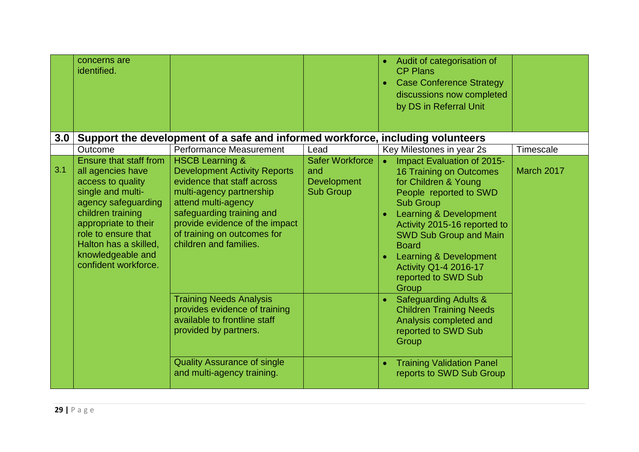|     | concerns are<br>identified.                                                                                                                                                                                                                            |                                                                                                                                                                                                                                                                            |                                                                         | Audit of categorisation of<br><b>CP Plans</b><br><b>Case Conference Strategy</b><br>$\bullet$<br>discussions now completed<br>by DS in Referral Unit                                                                                                                                                                                          |            |
|-----|--------------------------------------------------------------------------------------------------------------------------------------------------------------------------------------------------------------------------------------------------------|----------------------------------------------------------------------------------------------------------------------------------------------------------------------------------------------------------------------------------------------------------------------------|-------------------------------------------------------------------------|-----------------------------------------------------------------------------------------------------------------------------------------------------------------------------------------------------------------------------------------------------------------------------------------------------------------------------------------------|------------|
| 3.0 |                                                                                                                                                                                                                                                        | Support the development of a safe and informed workforce, including volunteers                                                                                                                                                                                             |                                                                         |                                                                                                                                                                                                                                                                                                                                               |            |
|     | Outcome                                                                                                                                                                                                                                                | Performance Measurement                                                                                                                                                                                                                                                    | Lead                                                                    | Key Milestones in year 2s                                                                                                                                                                                                                                                                                                                     | Timescale  |
| 3.1 | Ensure that staff from<br>all agencies have<br>access to quality<br>single and multi-<br>agency safeguarding<br>children training<br>appropriate to their<br>role to ensure that<br>Halton has a skilled,<br>knowledgeable and<br>confident workforce. | <b>HSCB Learning &amp;</b><br><b>Development Activity Reports</b><br>evidence that staff across<br>multi-agency partnership<br>attend multi-agency<br>safeguarding training and<br>provide evidence of the impact<br>of training on outcomes for<br>children and families. | <b>Safer Workforce</b><br>and<br><b>Development</b><br><b>Sub Group</b> | Impact Evaluation of 2015-<br>16 Training on Outcomes<br>for Children & Young<br>People reported to SWD<br><b>Sub Group</b><br>Learning & Development<br>Activity 2015-16 reported to<br><b>SWD Sub Group and Main</b><br><b>Board</b><br>Learning & Development<br>$\bullet$<br><b>Activity Q1-4 2016-17</b><br>reported to SWD Sub<br>Group | March 2017 |
|     |                                                                                                                                                                                                                                                        | <b>Training Needs Analysis</b><br>provides evidence of training<br>available to frontline staff<br>provided by partners.<br><b>Quality Assurance of single</b><br>and multi-agency training.                                                                               |                                                                         | <b>Safeguarding Adults &amp;</b><br>$\bullet$<br><b>Children Training Needs</b><br>Analysis completed and<br>reported to SWD Sub<br>Group<br><b>Training Validation Panel</b><br>$\bullet$<br>reports to SWD Sub Group                                                                                                                        |            |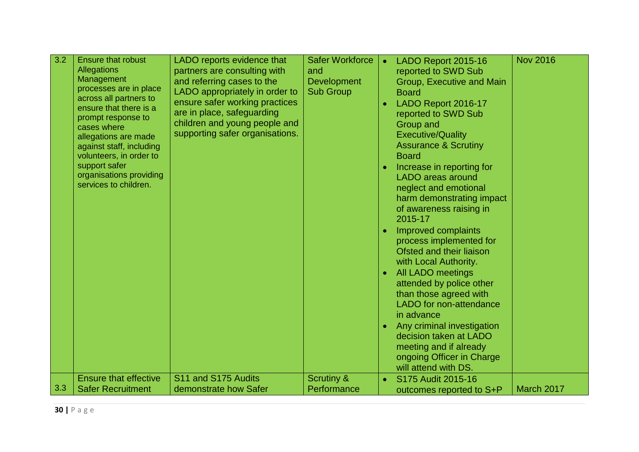| 3.2 | <b>Ensure that robust</b>                        | LADO reports evidence that      | <b>Safer Workforce</b> | $\bullet$ | LADO Report 2015-16             | <b>Nov 2016</b> |
|-----|--------------------------------------------------|---------------------------------|------------------------|-----------|---------------------------------|-----------------|
|     | Allegations                                      | partners are consulting with    | and                    |           | reported to SWD Sub             |                 |
|     | Management                                       | and referring cases to the      | <b>Development</b>     |           | Group, Executive and Main       |                 |
|     | processes are in place                           | LADO appropriately in order to  | <b>Sub Group</b>       |           | <b>Board</b>                    |                 |
|     | across all partners to<br>ensure that there is a | ensure safer working practices  |                        |           | LADO Report 2016-17             |                 |
|     | prompt response to                               | are in place, safeguarding      |                        |           | reported to SWD Sub             |                 |
|     | cases where                                      | children and young people and   |                        |           | <b>Group and</b>                |                 |
|     | allegations are made                             | supporting safer organisations. |                        |           | <b>Executive/Quality</b>        |                 |
|     | against staff, including                         |                                 |                        |           | <b>Assurance &amp; Scrutiny</b> |                 |
|     | volunteers, in order to                          |                                 |                        |           | <b>Board</b>                    |                 |
|     | support safer                                    |                                 |                        |           | Increase in reporting for       |                 |
|     | organisations providing                          |                                 |                        |           | <b>LADO</b> areas around        |                 |
|     | services to children.                            |                                 |                        |           | neglect and emotional           |                 |
|     |                                                  |                                 |                        |           | harm demonstrating impact       |                 |
|     |                                                  |                                 |                        |           | of awareness raising in         |                 |
|     |                                                  |                                 |                        |           | 2015-17                         |                 |
|     |                                                  |                                 |                        | $\bullet$ | Improved complaints             |                 |
|     |                                                  |                                 |                        |           | process implemented for         |                 |
|     |                                                  |                                 |                        |           | Ofsted and their liaison        |                 |
|     |                                                  |                                 |                        |           | with Local Authority.           |                 |
|     |                                                  |                                 |                        |           | <b>All LADO meetings</b>        |                 |
|     |                                                  |                                 |                        |           | attended by police other        |                 |
|     |                                                  |                                 |                        |           | than those agreed with          |                 |
|     |                                                  |                                 |                        |           | LADO for non-attendance         |                 |
|     |                                                  |                                 |                        |           | in advance                      |                 |
|     |                                                  |                                 |                        | $\bullet$ | Any criminal investigation      |                 |
|     |                                                  |                                 |                        |           | decision taken at LADO          |                 |
|     |                                                  |                                 |                        |           | meeting and if already          |                 |
|     |                                                  |                                 |                        |           | ongoing Officer in Charge       |                 |
|     |                                                  |                                 |                        |           | will attend with DS.            |                 |
|     | <b>Ensure that effective</b>                     | S11 and S175 Audits             | <b>Scrutiny &amp;</b>  |           | S175 Audit 2015-16              |                 |
| 3.3 | <b>Safer Recruitment</b>                         | demonstrate how Safer           | Performance            |           | outcomes reported to S+P        | March 2017      |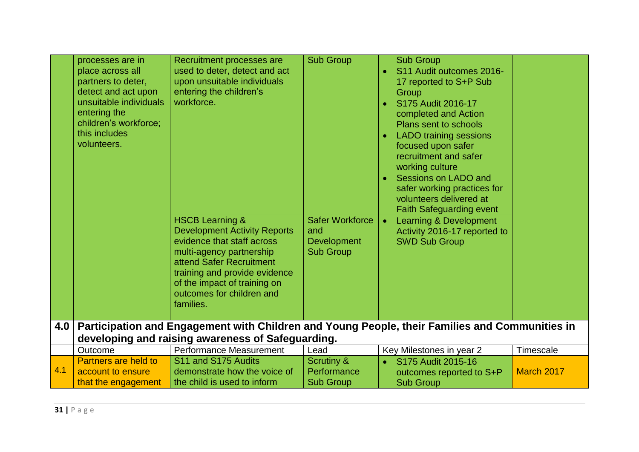|     | processes are in<br>place across all<br>partners to deter,<br>detect and act upon<br>unsuitable individuals<br>entering the<br>children's workforce;<br>this includes<br>volunteers. | Recruitment processes are<br>used to deter, detect and act<br>upon unsuitable individuals<br>entering the children's<br>workforce.<br><b>HSCB Learning &amp;</b><br><b>Development Activity Reports</b><br>evidence that staff across<br>multi-agency partnership<br>attend Safer Recruitment<br>training and provide evidence<br>of the impact of training on<br>outcomes for children and<br>families. | <b>Sub Group</b><br><b>Safer Workforce</b><br>and<br><b>Development</b><br><b>Sub Group</b> | <b>Sub Group</b><br>S11 Audit outcomes 2016-<br>$\bullet$<br>17 reported to S+P Sub<br>Group<br>S175 Audit 2016-17<br>completed and Action<br>Plans sent to schools<br><b>LADO</b> training sessions<br>focused upon safer<br>recruitment and safer<br>working culture<br>Sessions on LADO and<br>$\bullet$<br>safer working practices for<br>volunteers delivered at<br><b>Faith Safeguarding event</b><br>Learning & Development<br>$\bullet$<br>Activity 2016-17 reported to<br><b>SWD Sub Group</b> |            |
|-----|--------------------------------------------------------------------------------------------------------------------------------------------------------------------------------------|----------------------------------------------------------------------------------------------------------------------------------------------------------------------------------------------------------------------------------------------------------------------------------------------------------------------------------------------------------------------------------------------------------|---------------------------------------------------------------------------------------------|---------------------------------------------------------------------------------------------------------------------------------------------------------------------------------------------------------------------------------------------------------------------------------------------------------------------------------------------------------------------------------------------------------------------------------------------------------------------------------------------------------|------------|
| 4.0 |                                                                                                                                                                                      | Participation and Engagement with Children and Young People, their Families and Communities in<br>developing and raising awareness of Safeguarding.                                                                                                                                                                                                                                                      |                                                                                             |                                                                                                                                                                                                                                                                                                                                                                                                                                                                                                         |            |
|     | Outcome                                                                                                                                                                              | Performance Measurement                                                                                                                                                                                                                                                                                                                                                                                  | Lead                                                                                        | Key Milestones in year 2                                                                                                                                                                                                                                                                                                                                                                                                                                                                                | Timescale  |
| 4.1 | Partners are held to<br>account to ensure<br>that the engagement                                                                                                                     | S11 and S175 Audits<br>demonstrate how the voice of<br>the child is used to inform                                                                                                                                                                                                                                                                                                                       | <b>Scrutiny &amp;</b><br>Performance<br><b>Sub Group</b>                                    | S175 Audit 2015-16<br>outcomes reported to S+P<br><b>Sub Group</b>                                                                                                                                                                                                                                                                                                                                                                                                                                      | March 2017 |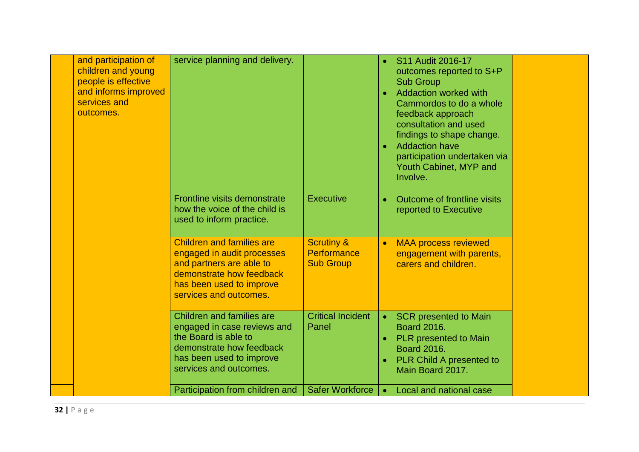| and participation of<br>children and young<br>people is effective<br>and informs improved<br>services and<br>outcomes. | service planning and delivery.                                                                                                                                               |                                                                 | $\bullet$<br>$\bullet$ | S11 Audit 2016-17<br>outcomes reported to S+P<br><b>Sub Group</b><br><b>Addaction worked with</b><br>Cammordos to do a whole<br>feedback approach<br>consultation and used<br>findings to shape change.<br><b>Addaction have</b><br>participation undertaken via<br>Youth Cabinet, MYP and<br>Involve. |  |
|------------------------------------------------------------------------------------------------------------------------|------------------------------------------------------------------------------------------------------------------------------------------------------------------------------|-----------------------------------------------------------------|------------------------|--------------------------------------------------------------------------------------------------------------------------------------------------------------------------------------------------------------------------------------------------------------------------------------------------------|--|
|                                                                                                                        | Frontline visits demonstrate<br>how the voice of the child is<br>used to inform practice.                                                                                    | <b>Executive</b>                                                |                        | Outcome of frontline visits<br>reported to Executive                                                                                                                                                                                                                                                   |  |
|                                                                                                                        | <b>Children and families are</b><br>engaged in audit processes<br>and partners are able to<br>demonstrate how feedback<br>has been used to improve<br>services and outcomes. | <b>Scrutiny &amp;</b><br><b>Performance</b><br><b>Sub Group</b> | $\bullet$              | <b>MAA process reviewed</b><br>engagement with parents,<br>carers and children.                                                                                                                                                                                                                        |  |
|                                                                                                                        | <b>Children and families are</b><br>engaged in case reviews and<br>the Board is able to<br>demonstrate how feedback<br>has been used to improve<br>services and outcomes.    | <b>Critical Incident</b><br>Panel                               | $\bullet$<br>$\bullet$ | <b>SCR</b> presented to Main<br><b>Board 2016.</b><br><b>PLR</b> presented to Main<br><b>Board 2016.</b><br><b>PLR Child A presented to</b><br>Main Board 2017.                                                                                                                                        |  |
|                                                                                                                        | Participation from children and                                                                                                                                              | <b>Safer Workforce</b>                                          | $\bullet$              | Local and national case                                                                                                                                                                                                                                                                                |  |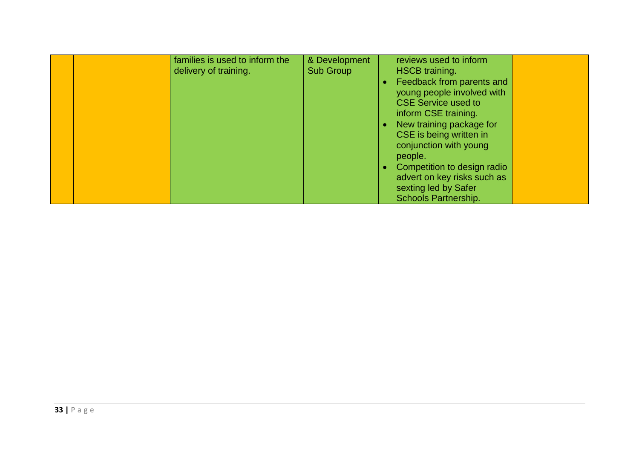|  | families is used to inform the<br>delivery of training. | & Development<br><b>Sub Group</b> | reviews used to inform<br><b>HSCB</b> training.                                                                   |  |
|--|---------------------------------------------------------|-----------------------------------|-------------------------------------------------------------------------------------------------------------------|--|
|  |                                                         |                                   | Feedback from parents and<br>young people involved with<br><b>CSE Service used to</b><br>inform CSE training.     |  |
|  |                                                         |                                   | New training package for<br>CSE is being written in<br>conjunction with young<br>people.                          |  |
|  |                                                         |                                   | Competition to design radio<br>advert on key risks such as<br>sexting led by Safer<br><b>Schools Partnership.</b> |  |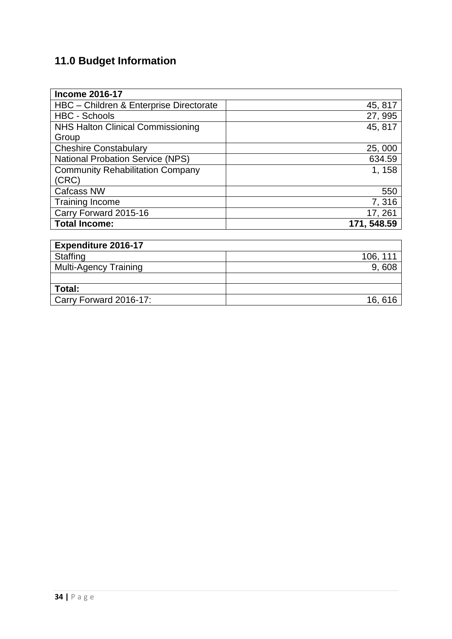## **11.0 Budget Information**

| <b>Income 2016-17</b>                    |             |
|------------------------------------------|-------------|
| HBC - Children & Enterprise Directorate  | 45, 817     |
| <b>HBC - Schools</b>                     | 27, 995     |
| <b>NHS Halton Clinical Commissioning</b> | 45, 817     |
| Group                                    |             |
| <b>Cheshire Constabulary</b>             | 25,000      |
| <b>National Probation Service (NPS)</b>  | 634.59      |
| <b>Community Rehabilitation Company</b>  | 1, 158      |
| (CRC)                                    |             |
| <b>Cafcass NW</b>                        | 550         |
| <b>Training Income</b>                   | 7,316       |
| Carry Forward 2015-16                    | 17, 261     |
| <b>Total Income:</b>                     | 171, 548.59 |

| <b>Expenditure 2016-17</b> |          |
|----------------------------|----------|
| Staffing                   | 106, 111 |
| Multi-Agency Training      | 9,608    |
|                            |          |
| ∣ Total:                   |          |
| Carry Forward 2016-17:     | 16, 616  |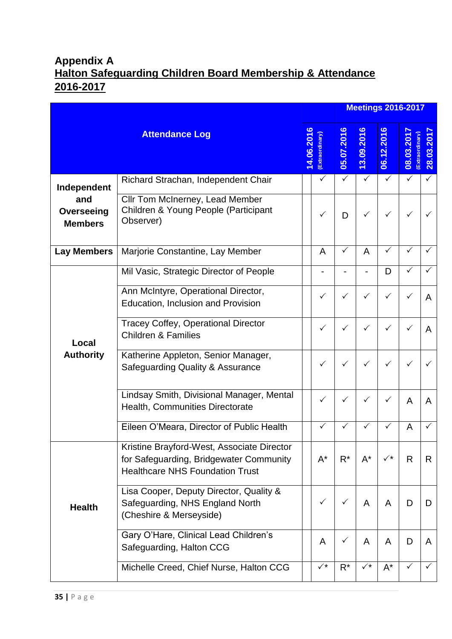## **Appendix A Halton Safeguarding Children Board Membership & Attendance 2016-2017**

|                                     |                                                                                                                                 |            |                |              |                        | <b>Meetings 2016-2017</b> |                               |              |
|-------------------------------------|---------------------------------------------------------------------------------------------------------------------------------|------------|----------------|--------------|------------------------|---------------------------|-------------------------------|--------------|
|                                     | <b>Attendance Log</b>                                                                                                           | 14.06.2016 | Extraordinary  | 05.07.2016   | $\bullet$<br>13.09.201 | ဖ<br>06.12.201            | 08.03.2017<br>(Extraordinary) | 28.03.201    |
| Independent                         | Richard Strachan, Independent Chair                                                                                             |            | $\checkmark$   | $\checkmark$ | $\checkmark$           | ✓                         | $\checkmark$                  | $\checkmark$ |
| and<br>Overseeing<br><b>Members</b> | Cllr Tom McInerney, Lead Member<br>Children & Young People (Participant<br>Observer)                                            |            | ✓              | D            | ✓                      | ✓                         |                               |              |
| <b>Lay Members</b>                  | Marjorie Constantine, Lay Member                                                                                                |            | A              | $\checkmark$ | A                      | ✓                         | ✓                             |              |
|                                     | Mil Vasic, Strategic Director of People                                                                                         |            |                |              |                        | D                         |                               |              |
|                                     | Ann McIntyre, Operational Director,<br>Education, Inclusion and Provision                                                       |            | ✓              | ✓            | ✓                      | ✓                         |                               | A            |
| Local                               | <b>Tracey Coffey, Operational Director</b><br><b>Children &amp; Families</b>                                                    |            | ✓              | ✓            | ✓                      | ✓                         |                               | A            |
| <b>Authority</b>                    | Katherine Appleton, Senior Manager,<br>Safeguarding Quality & Assurance                                                         |            | ✓              | $\checkmark$ | ✓                      | ✓                         | ✓                             |              |
|                                     | Lindsay Smith, Divisional Manager, Mental<br>Health, Communities Directorate                                                    |            |                |              | ✓                      |                           | A                             | A            |
|                                     | Eileen O'Meara, Director of Public Health                                                                                       |            |                |              | ✓                      |                           | A                             |              |
|                                     | Kristine Brayford-West, Associate Director<br>for Safeguarding, Bridgewater Community<br><b>Healthcare NHS Foundation Trust</b> |            | $A^*$          | $R^*$        | $A^*$                  | $\checkmark^*$            | $\mathsf{R}$                  | R.           |
| <b>Health</b>                       | Lisa Cooper, Deputy Director, Quality &<br>Safeguarding, NHS England North<br>(Cheshire & Merseyside)                           |            |                |              | A                      | A                         | D                             | D            |
|                                     | Gary O'Hare, Clinical Lead Children's<br>Safeguarding, Halton CCG                                                               |            | A              | $\checkmark$ | A                      | A                         | D                             | A            |
|                                     | Michelle Creed, Chief Nurse, Halton CCG                                                                                         |            | $\checkmark^*$ | $R^*$        | $\checkmark^*$         | $A^*$                     | ✓                             |              |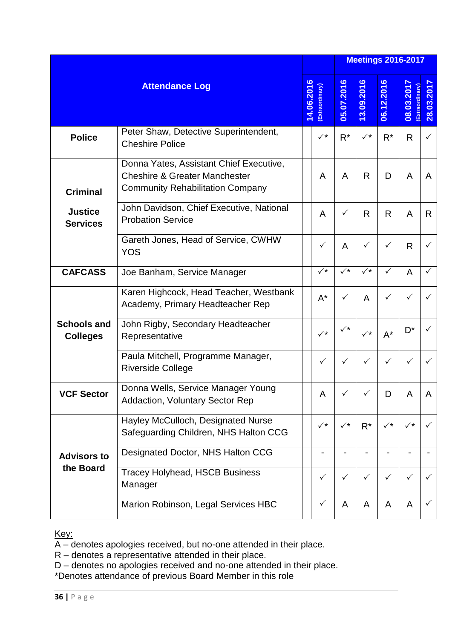|                                       |                                                                                                                                |            |                |                      |                      |              | <b>Meetings 2016-2017</b>    |              |
|---------------------------------------|--------------------------------------------------------------------------------------------------------------------------------|------------|----------------|----------------------|----------------------|--------------|------------------------------|--------------|
|                                       | <b>Attendance Log</b>                                                                                                          | 14.06.2016 | Extraordinary  | 05.07.2016           | 13.09.2016           | 06.12.2016   | 08.03.201<br>(Extraordinary) | 28.03.201    |
| <b>Police</b>                         | Peter Shaw, Detective Superintendent,<br><b>Cheshire Police</b>                                                                |            | $\checkmark^*$ | $R^*$                | $\checkmark^{\star}$ | $R^*$        | R                            | $\checkmark$ |
| <b>Criminal</b>                       | Donna Yates, Assistant Chief Executive,<br><b>Cheshire &amp; Greater Manchester</b><br><b>Community Rehabilitation Company</b> |            | A              | A                    | R.                   | D            | A                            | A            |
| <b>Justice</b><br><b>Services</b>     | John Davidson, Chief Executive, National<br><b>Probation Service</b>                                                           |            | A              | ✓                    | R                    | R            | A                            | R            |
|                                       | Gareth Jones, Head of Service, CWHW<br><b>YOS</b>                                                                              |            | ✓              | A                    | ✓                    | ✓            | R                            |              |
| <b>CAFCASS</b>                        | Joe Banham, Service Manager                                                                                                    |            | $\checkmark^*$ | $\sqrt{\star}$       | $\sqrt{\star}$       | $\checkmark$ | A                            | ✓            |
|                                       | Karen Highcock, Head Teacher, Westbank<br>Academy, Primary Headteacher Rep                                                     |            | $A^*$          | ✓                    | A                    | $\checkmark$ | ✓                            |              |
| <b>Schools and</b><br><b>Colleges</b> | John Rigby, Secondary Headteacher<br>Representative                                                                            |            | $\checkmark^*$ | $\checkmark^{\star}$ | $\checkmark^{\star}$ | $A^*$        | $\mathsf{D}^\star$           |              |
|                                       | Paula Mitchell, Programme Manager,<br><b>Riverside College</b>                                                                 |            | ✓              | ✓                    | ✓                    | ✓            | ✓                            |              |
| <b>VCF Sector</b>                     | Donna Wells, Service Manager Young<br><b>Addaction, Voluntary Sector Rep</b>                                                   |            | A              |                      |                      | D            | A                            | $\mathsf{A}$ |
|                                       | Hayley McCulloch, Designated Nurse<br>Safeguarding Children, NHS Halton CCG                                                    |            | $\checkmark^*$ | $\checkmark^*$       | $R^*$                | ✓∗           | $\checkmark^*$               |              |
| <b>Advisors to</b>                    | Designated Doctor, NHS Halton CCG                                                                                              |            |                |                      |                      |              |                              |              |
| the Board                             | <b>Tracey Holyhead, HSCB Business</b><br>Manager                                                                               |            | $\checkmark$   | $\checkmark$         | $\checkmark$         | ✓            | ✓                            |              |
|                                       | Marion Robinson, Legal Services HBC                                                                                            |            | $\checkmark$   | A                    | A                    | A            | A                            | $\checkmark$ |

Key:

A – denotes apologies received, but no-one attended in their place.

R – denotes a representative attended in their place.

D – denotes no apologies received and no-one attended in their place.

\*Denotes attendance of previous Board Member in this role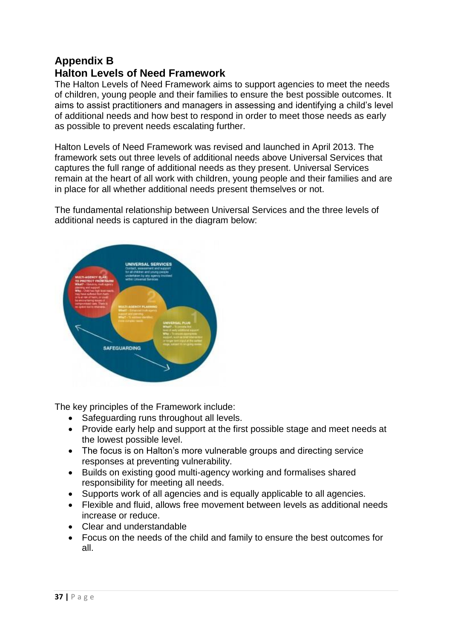#### **Appendix B Halton Levels of Need Framework**

The Halton Levels of Need Framework aims to support agencies to meet the needs of children, young people and their families to ensure the best possible outcomes. It aims to assist practitioners and managers in assessing and identifying a child's level of additional needs and how best to respond in order to meet those needs as early as possible to prevent needs escalating further.

Halton Levels of Need Framework was revised and launched in April 2013. The framework sets out three levels of additional needs above Universal Services that captures the full range of additional needs as they present. Universal Services remain at the heart of all work with children, young people and their families and are in place for all whether additional needs present themselves or not.

The fundamental relationship between Universal Services and the three levels of additional needs is captured in the diagram below:

![](_page_36_Figure_4.jpeg)

The key principles of the Framework include:

- Safeguarding runs throughout all levels.
- Provide early help and support at the first possible stage and meet needs at the lowest possible level.
- The focus is on Halton's more vulnerable groups and directing service responses at preventing vulnerability.
- Builds on existing good multi-agency working and formalises shared responsibility for meeting all needs.
- Supports work of all agencies and is equally applicable to all agencies.
- Flexible and fluid, allows free movement between levels as additional needs increase or reduce.
- Clear and understandable
- Focus on the needs of the child and family to ensure the best outcomes for all.